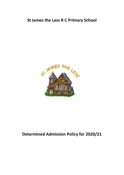# **St James the Less R C Primary School**



# **Determined Admission Policy for 2020/21**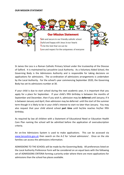#### **OUR MISSION STATEMENT**



St James the Less is a Roman Catholic Primary School under the trusteeship of the Diocese of Salford. It is maintained by Lancashire Local Authority. As a Voluntary Aided School, the Governing Body is the Admissions Authority and is responsible for taking decisions on applications for admissions. The co-ordination of admissions arrangements is undertaken by the Local Authority. For the school's year commencing September 2020, the Governing Body has set its admissions number at 30.

If your child is due to start school during the next academic year, it is important that you apply for a place for September. If your child's fifth birthday is between the months of September and December, then if you wish it, admission may be **deferred** until January; if it is between January and April, then admission may be deferred until the start of the summer term though it is likely to be in your child's interest to start no later than January. You may also request that your child attend school **part time** until he/she reaches his/her fifth birthday.

As required by law all children with a Statement of Educational Need or Education Health Care Plan naming the school will be admitted before the application of oversubscription criteria.

An on-line Admissions System is used to make applications. This can be accessed via [www.lancashire.gov.uk](http://www.lancashire.gov.uk/) then search on the A-Z for 'school admissions'. Once on the site families can access the admissions information.

ADMISSIONS TO THE SCHOOL will be made by the Governing Body. All preferences listed on the Local Authority Preference Form will be considered on an equal basis with the following set of ADMISSIONS CRITERIA forming a priority order where there are more applications for admissions than the school has places available.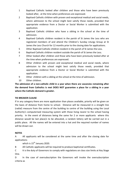- 1 Baptised Catholic looked after children and those who have been previously looked after, at the time when preferences are expressed.
- 2 Baptised Catholic children with proven and exceptional medical and social needs, where admission to the school might best satisfy those needs, provided that appropriate evidence from a Doctor or Social Worker is submitted with the application.
- 3 Baptised Catholic children who have a sibling in the school at the time of admission.
- 4 Baptised Catholic children resident in the parish of St James the Less who are registered members of and attend the Children's Sunday Liturgy Group at St James the Less Church for 12 months prior to the closing date for applications.
- 5 Other Baptised Catholic children resident in the parish of St James the Less.
- 6 Baptised Catholic children resident outside the parish of St James the Less.
- 7 Other looked after children and those who have been previously looked after at the time when preferences are expressed.
- 8 Other children with proven and exceptional medical and social needs, where admission to the school might best satisfy those needs, provided that appropriate evidence from a Doctor or Social Worker is submitted with the application.
- 9 Other children with a sibling at the school at the time of admission.
- 10 Other children.

**The admission of a non-catholic child in a year when there are vacancies remaining after the demand from Catholics is met DOES NOT guarantee a place for a sibling in a year where the Catholic demand is greater.**

## **TIE BREAKER CLAUSE**

If in any category there are more application than places available, priority will be given on the basis of distance from home to school. Distance will be measured in a straight line (radial) measure from the centre of the building to centre of the building using the Local Authority's computerised measuring system with those living nearer to the school having priority. In the event of distances being the same for 2 or more applicants where this distance would be last place/s to be allocated, a random lottery will be carried out in a public place. All the names will be entered into a hat and the required number of names will be drawn out.

## **NOTES**

A All applicants will be considered at the same time and after the closing date for applications

which is  $15^{th}$  January 2020.

B All Catholic applicants will be required to produce baptismal certificates.

C It is the duty of Governors to comply with regulations on class size limits at Key Stage One.

D In the case of oversubscription the Governors will invoke the oversubscription criteria as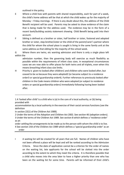outlined in the policy.

- E Where a child lives with parents with shared responsibility, each for part of a week, the child's home address will be that at which the child wakes up for the majority of Monday – Friday mornings. If there is any doubt about this, the address of the Child Benefit recipient will be used. Parents may be asked to show evidence of the claim that is being made for the address used. The evidence may be in the form of a recent bank/building society statement showing Child Benefit being paid into their account.
- F Sibling is defined as a brother or sister, half brother or sister, fostered and adopted brother or sister, step brother/sister or the child of the parent/carer's partner where the child for whom the school place is sought is living in the same family unit at the same address as that sibling for the majority of the school week.

G Where there are twins, etc wanting admission and there is only a single place left within the

admission number, then the governing body will exercise as much flexibility as possible within the requirements of infant class sizes. In exceptional circumstances cases we are now able to offer places for both twins and all triplets, even when this means breaching infant class size limits.

H Priority is given to looked after children1 and children who were looked after, but ceased to be so because they were adopted2 (or became subject to a residence order3 or special guardianship order4). Further references to previously looked after children in the Code means children who were adopted (or subject to residence orders or special guardianship orders) immediately following having been looked after.

1 A 'looked after child' is a child who is (a) in the care of a local authority, or (b) being provided with

accommodation by a local authority in the exercise of their social services functions (see the definition

\_\_\_\_\_\_\_\_\_\_\_\_\_\_\_\_\_\_\_\_\_\_\_\_\_\_\_\_\_\_\_\_\_\_\_\_\_\_\_\_\_\_\_\_\_\_\_\_\_\_\_\_\_\_\_\_\_\_\_\_\_\_\_\_\_\_\_\_\_\_\_\_\_\_\_

in section 22(1) of the Children Act 1989).

2 Under the terms of the Adoption and Children Act 2002. See section 46 (adoption orders).

3 Under the terms of the Children Act 1989. See section 8 which defines a 'residence order' as an

order settling the arrangements to be made as to the person with whom the child is to live. 4 See section 14A of the Children Act 1989 which defines a 'special guardianship order' as an order

I A waiting list will be created for all years that are full. Names of children who have not been offered a place will be kept and will be ranked according to the Admission Criteria. Since the date of application cannot be a criterion for the order of names on the waiting list, late applicants for the school will be slotted into the order according to the extent to which they meet the criteria. It is therefore possible that a child who moves into the area later to have a higher priority than one who has been on the waiting list for some time. Parents will be informed of their child's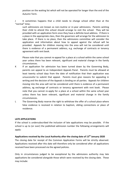position on the waiting list which will not be operated for longer than the end of the Autumn Term.

J It sometimes happens that a child needs to change school other than at the "normal" time;

such admissions are known as non-routine or in-year admissions. Parents wishing their child to attend this school should arrange to visit the school. They will be provided with an application form once they have a definite local address. If there is a place in the appropriate class, then the governors will arrange for the admission to take place. If there is no place, then the admissions committee will consider the application and information about how to appeal against the refusal will be provided. Appeals for children moving into the area will not be considered until there is evidence of a permanent address, e.g. exchange of contracts or tenancy agreement with rent book.

Please note that you cannot re-appeal for a place at a school within the same school year unless there has been relevant, significant and material change in the family circumstances.

- K If an application for admission has been turned down by the Governing Body, parents can appeal to an Independant Appeals Panel. Parents must be allowed at least twenty school days from the date of notification that their application was unsuccessful to submit that appeal. Parents must give reasons for appealing in writing and the decision of the Appeals is binding on all parties. Appeals for children moving into the area will not be considered until there is evidence of a permanent address, eg exchange of contracts or tenancy agreement with rent book. Please note that you cannot re-apply for a place at a school within the same school year unless there has been relevant, significant and material change in the family circumstances.
- L The Governing Body reserve the right to withdraw the offer of a school place where false evidence is received in relation to baptism, sibling connections or place of residence.

#### **LATE APPLICATIONS**

If the school is undersubscribed the inclusion of late applications may be possible. If the school is up to (or over) the published admission number the following arrangements will apply:

# **Applications received by the Local Authority after the closing date of 15 th January 2020**

The closing date for receipt of the Common Application Forms will be strictly observed. Applications received after this date will therefore only be considered after all applications received have been processed via the agreed policies.

Only in circumstances judged to be exceptional by the admissions authority may late applications be considered alongside those which were received by the closing date. These may include: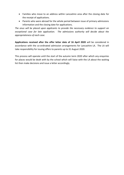- Families who move to an address within Lancashire area after the closing date for the receipt of applications.
- Parents who were abroad for the whole period between issue of primary admissions information and the closing date for applications.

*The onus will be placed upon applicants to provide the necessary evidence to support an exceptional case for late application. The admissions authority will decide about the appropriateness of each case.*

**Applications received after the offer letter date of 16 April 2020** will be considered in accordance with the co-ordinated admission arrangements for Lancashire LA. The LA will take responsibility for issuing offers to parents up to 31 August 2020.

This process will operate until the start of the autumn term 2020 after which any enquiries for places would be dealt with by the school which will liaise with the LA about the waiting list then make decisions and issue a letter accordingly.